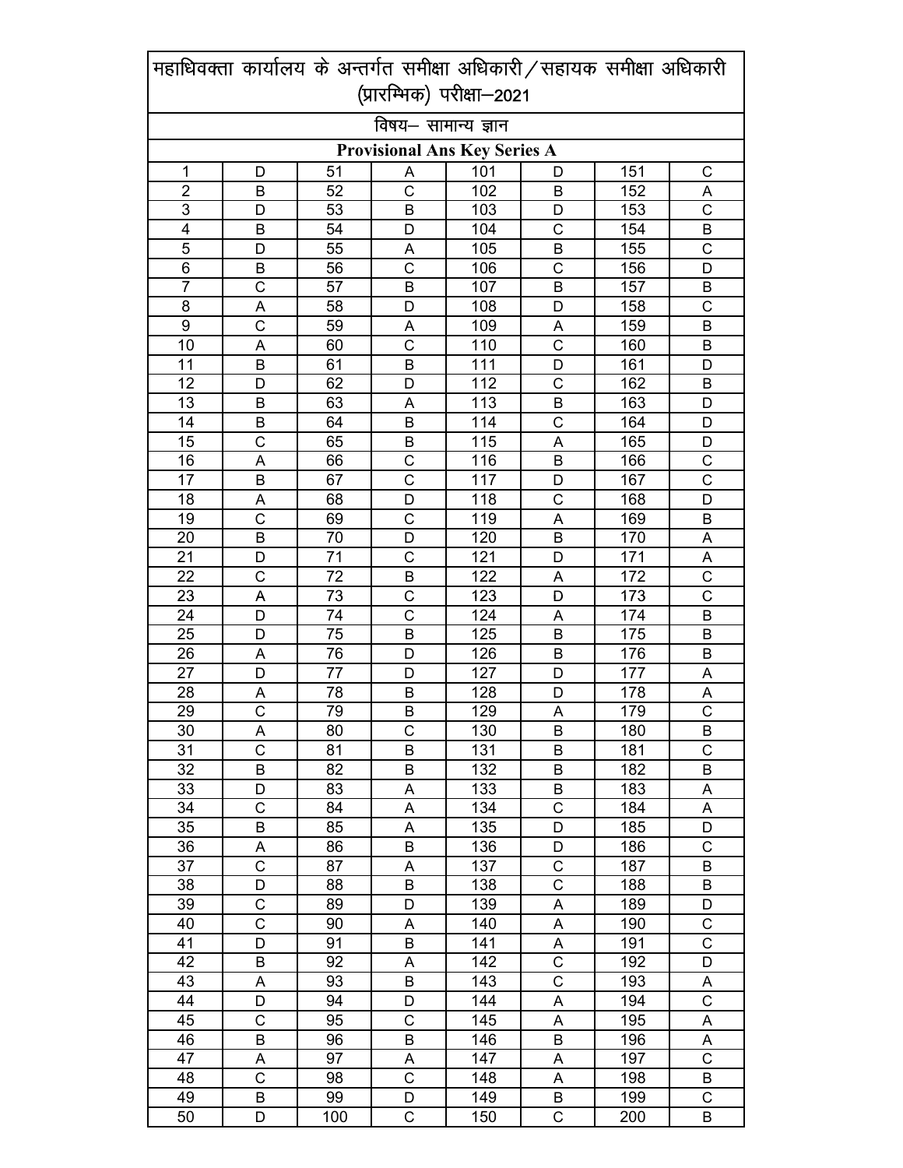|                                     | महाधिवक्ता कार्यालय के अन्तर्गत समीक्षा अधिकारी / सहायक समीक्षा अधिकारी |          |                       |                           |                |            |                              |  |
|-------------------------------------|-------------------------------------------------------------------------|----------|-----------------------|---------------------------|----------------|------------|------------------------------|--|
|                                     |                                                                         |          |                       | (प्रारम्भिक) परीक्षा-2021 |                |            |                              |  |
|                                     |                                                                         |          | विषय– सामान्य ज्ञान   |                           |                |            |                              |  |
| <b>Provisional Ans Key Series A</b> |                                                                         |          |                       |                           |                |            |                              |  |
| 1                                   | D                                                                       | 51       | A                     | 101                       | D              | 151        | C                            |  |
| $\overline{2}$                      | В                                                                       | 52       | C                     | 102                       | В              | 152        | Α                            |  |
| 3                                   | D                                                                       | 53       | B                     | 103                       | D              | 153        | $\mathsf{C}$                 |  |
| 4                                   | B                                                                       | 54       | D                     | 104                       | C              | 154        | B                            |  |
| 5                                   | D                                                                       | 55       | A                     | 105                       | В              | 155        | $\mathsf{C}$                 |  |
| $\overline{6}$                      | B                                                                       | 56       | $\overline{\text{c}}$ | 106                       | C              | 156        | D                            |  |
| 7                                   | $\overline{\text{c}}$                                                   | 57       | B                     | 107                       | B              | 157        | B                            |  |
| 8                                   | A                                                                       | 58       | D                     | 108                       | D              | 158        | C                            |  |
| 9                                   | $\overline{C}$                                                          | 59       | A                     | 109                       | A              | 159        | B                            |  |
| 10                                  | A                                                                       | 60       | $\overline{C}$        | 110                       | $\overline{C}$ | 160        | B                            |  |
| 11                                  | B                                                                       | 61       | B                     | 111                       | D              | 161        | D                            |  |
| 12                                  | D                                                                       | 62       | D                     | 112                       | C              | 162        | B                            |  |
| 13                                  | В                                                                       | 63       | A                     | 113                       | B              | 163        | D                            |  |
| 14                                  | B                                                                       | 64       | B                     | 114                       | C              | 164        | D                            |  |
| 15                                  | $\mathsf{C}$                                                            | 65       | B                     | 115                       | A              | 165        | D                            |  |
| 16                                  | A                                                                       | 66       | C                     | 116                       | B              | 166        | $\mathsf{C}$                 |  |
| 17                                  | B                                                                       | 67       | $\overline{C}$        | 117                       | D              | 167        | $\overline{\text{c}}$        |  |
| 18                                  | Α                                                                       | 68       | D                     | 118                       | C              | 168        | D                            |  |
| 19                                  | C                                                                       | 69       | C                     | 119                       | A              | 169        | B                            |  |
| 20                                  | B                                                                       | 70       | D                     | 120                       | B              | 170        | A                            |  |
| 21                                  | D                                                                       | 71       | $\mathsf{C}$          | 121                       | D              | 171        | A                            |  |
| 22                                  | C                                                                       | 72       | B                     | 122                       | A              | 172        | $\overline{\text{c}}$        |  |
| 23                                  | A                                                                       | 73       | $\mathsf C$           | 123                       | D              | 173        | $\overline{\text{c}}$        |  |
| 24                                  | D                                                                       | 74       | C                     | 124                       | A              | 174        | B                            |  |
| 25                                  | D                                                                       | 75       | B                     | 125                       | B              | 175        | B                            |  |
| 26                                  | A                                                                       | 76       | D                     | 126                       | B              | 176        | B                            |  |
| 27                                  | D                                                                       | 77       | D                     | 127                       | D              | 177        | A                            |  |
| 28<br>29                            | Α<br>$\overline{C}$                                                     | 78       | B                     | 128                       | D              | 178        | A<br>$\overline{\mathrm{C}}$ |  |
| 30                                  |                                                                         | 79<br>80 | B<br>C                | 129<br>130                | Α              | 179        |                              |  |
| 31                                  | A<br>C                                                                  | 81       | B                     | 131                       | B<br>В         | 180<br>181 | B<br>C                       |  |
| 32                                  | B                                                                       | 82       | B                     | 132                       | B              | 182        | B                            |  |
| 33                                  | D                                                                       | 83       | A                     | 133                       | Β              | 183        | A                            |  |
| 34                                  | C                                                                       | 84       | A                     | 134                       | C              | 184        | A                            |  |
| 35                                  | В                                                                       | 85       | Α                     | 135                       | D              | 185        | D                            |  |
| 36                                  | Α                                                                       | 86       | B                     | 136                       | D              | 186        | C                            |  |
| 37                                  | Ċ                                                                       | 87       | A                     | 137                       | C              | 187        | B                            |  |
| 38                                  | D                                                                       | 88       | B                     | 138                       | C              | 188        | B                            |  |
| 39                                  | C                                                                       | 89       | D                     | 139                       | A              | 189        | D                            |  |
| 40                                  | C                                                                       | 90       | Α                     | 140                       | Α              | 190        | C                            |  |
| 41                                  | D                                                                       | 91       | В                     | 141                       | Α              | 191        | C                            |  |
| 42                                  | B                                                                       | 92       | Α                     | 142                       | С              | 192        | D                            |  |
| 43                                  | A                                                                       | 93       | B                     | 143                       | C              | 193        | A                            |  |
| 44                                  | D                                                                       | 94       | D                     | 144                       | Α              | 194        | $\mathsf{C}$                 |  |
| 45                                  | C                                                                       | 95       | $\mathsf C$           | 145                       | A              | 195        | A                            |  |
| 46                                  | В                                                                       | 96       | B                     | 146                       | B              | 196        | Α                            |  |
| 47                                  | А                                                                       | 97       | Α                     | 147                       | Α              | 197        | $\mathsf{C}$                 |  |
| 48                                  | C                                                                       | 98       | $\mathsf C$           | 148                       | A              | 198        | B                            |  |
| 49                                  | В                                                                       | 99       | D                     | 149                       | B              | 199        | C                            |  |
| 50                                  | D                                                                       | 100      | $\mathsf C$           | 150                       | C              | 200        | B                            |  |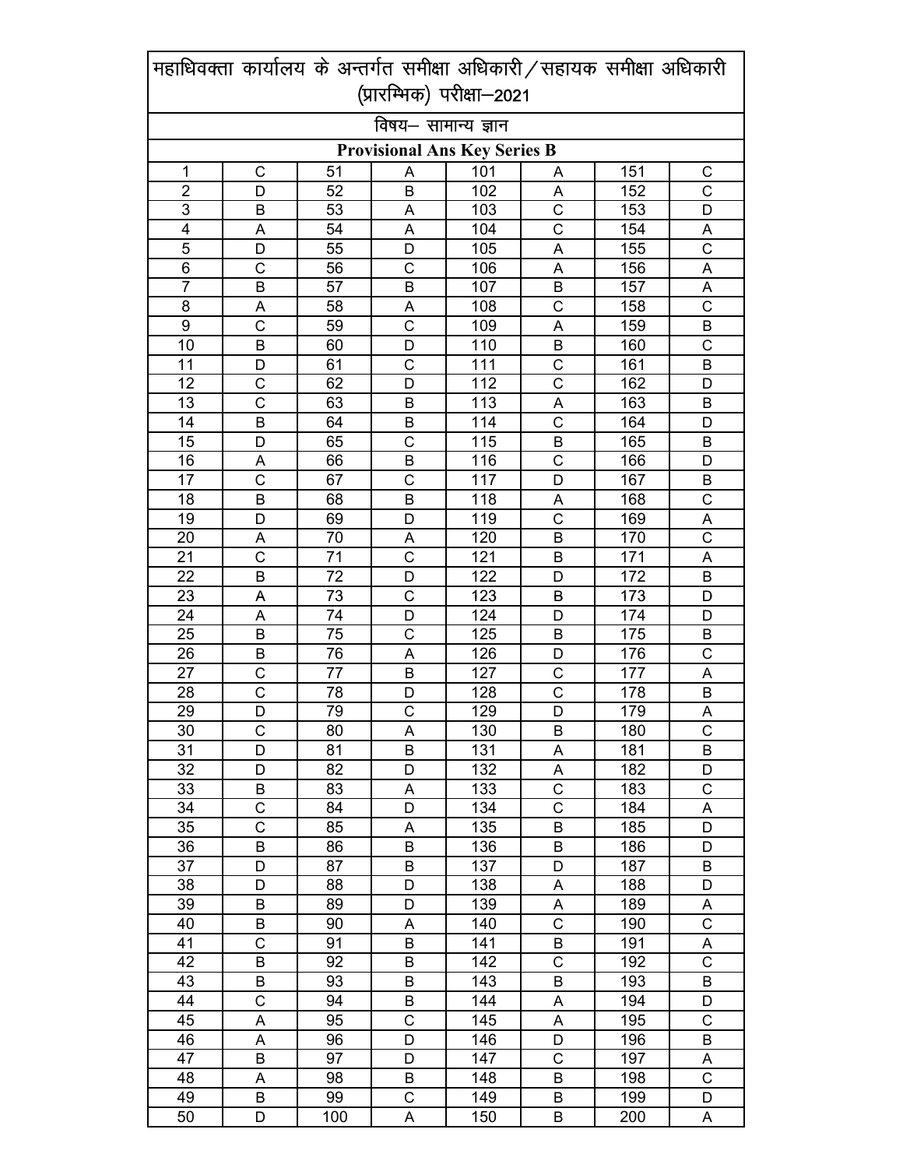|                 | महाधिवक्ता कार्यालय के अन्तर्गत समीक्षा अधिकारी / सहायक समीक्षा अधिकारी |     |                                     |                  |                |     |                       |
|-----------------|-------------------------------------------------------------------------|-----|-------------------------------------|------------------|----------------|-----|-----------------------|
|                 |                                                                         |     | (प्रारम्भिक) परीक्षा-2021           |                  |                |     |                       |
|                 |                                                                         |     | विषय– सामान्य ज्ञान                 |                  |                |     |                       |
|                 |                                                                         |     | <b>Provisional Ans Key Series B</b> |                  |                |     |                       |
| 1               | $\mathsf C$                                                             | 51  | A                                   | 101              | Α              | 151 | C                     |
| $\overline{2}$  | D                                                                       | 52  | В                                   | 102              | Α              | 152 | $\overline{C}$        |
| 3               | B                                                                       | 53  | A                                   | 103              | C              | 153 | D                     |
| 4               | A                                                                       | 54  | A                                   | 104              | C              | 154 | A                     |
| 5               | D                                                                       | 55  | D                                   | 105              | A              | 155 | $\mathsf{C}$          |
| $\overline{6}$  | C                                                                       | 56  | $\mathsf{C}$                        | 106              | A              | 156 | A                     |
| $\overline{7}$  | B                                                                       | 57  | B                                   | 107              | B              | 157 | A                     |
| 8               | Α                                                                       | 58  | A                                   | 108              | C              | 158 | $\mathsf{C}$          |
| 9               | $\mathsf{C}$                                                            | 59  | $\mathsf{C}$                        | 109              | A              | 159 | $\sf B$               |
| 10              | B                                                                       | 60  | D                                   | 110              | B              | 160 | C                     |
| 11              | D                                                                       | 61  | $\mathsf{C}$                        | 111              | C              | 161 | B                     |
| 12              | C                                                                       | 62  | D                                   | 112              | $\overline{C}$ | 162 | D                     |
| 13              | C                                                                       | 63  | B                                   | 113              | Α              | 163 | B                     |
| 14              | B                                                                       | 64  | B                                   | 114              | C              | 164 | D                     |
| $\overline{15}$ | D                                                                       | 65  | $\mathsf{C}$                        | 115              | B              | 165 | B                     |
| 16              | A                                                                       | 66  | B                                   | 116              | $\mathsf C$    | 166 | D                     |
| 17              | Ċ                                                                       | 67  | $\mathsf{C}$                        | 117              | D              | 167 | B                     |
| 18              | B                                                                       | 68  | B                                   | 118              | Α              | 168 | $\mathsf{C}$          |
| 19              | D                                                                       | 69  | D                                   | 119              | C              | 169 | Α                     |
| 20              | A                                                                       | 70  | A                                   | 120              | B              | 170 | $\overline{\text{c}}$ |
| 21              | Ċ                                                                       | 71  | $\mathsf{C}$                        | 121              | B              | 171 | A                     |
| 22              | B                                                                       | 72  | D                                   | 122              | D              | 172 | B                     |
| 23              | A                                                                       | 73  | $\overline{C}$                      | $\overline{123}$ | B              | 173 | D                     |
| 24              | Α                                                                       | 74  | D                                   | 124              | D              | 174 | D                     |
| 25              | B                                                                       | 75  | C                                   | 125              | В              | 175 | B                     |
| 26              | B                                                                       | 76  | A                                   | 126              | D              | 176 | $\overline{C}$        |
| 27              | C                                                                       | 77  | B                                   | 127              | C              | 177 | A                     |
| 28              | $\mathsf C$                                                             | 78  | D                                   | 128              | C              | 178 | $\mathsf B$           |
| 29              | D                                                                       | 79  | $\overline{\text{c}}$               | 129              | D              | 179 | A                     |
| 30              | C                                                                       | 80  | Α                                   | 130              | В              | 180 | C                     |
| 31              | D                                                                       | 81  | B                                   | 131              | Α              | 181 | В                     |
| 32              | D                                                                       | 82  | D                                   | 132              | Α              | 182 | D                     |
| 33              | В                                                                       | 83  | A                                   | 133              | C              | 183 | $\mathsf{C}$          |
| 34              | C                                                                       | 84  | D                                   | 134              | C              | 184 | Α                     |
| 35              | C                                                                       | 85  | Α                                   | 135              | B              | 185 | D                     |
| 36              | B                                                                       | 86  | B                                   | 136              | B              | 186 | D                     |
| 37              | D                                                                       | 87  | B                                   | 137              | D              | 187 | B                     |
| 38              | D                                                                       | 88  | D                                   | 138              | A              | 188 | D                     |
| 39              | B                                                                       | 89  | D                                   | 139              | Α              | 189 | A                     |
| 40              | B                                                                       | 90  | A                                   | 140              | C              | 190 | $\overline{\text{c}}$ |
| 41              | C                                                                       | 91  | B                                   | 141              | B              | 191 | Α                     |
| 42              | B                                                                       | 92  | B                                   | 142              | С              | 192 | C                     |
| 43              | B                                                                       | 93  | B                                   | 143              | B              | 193 | B                     |
| 44              | C                                                                       | 94  | В                                   | 144              | Α              | 194 | D                     |
| 45              | Α                                                                       | 95  | $\mathsf C$                         | 145              | A              | 195 | $\mathsf{C}$          |
| 46              | А                                                                       | 96  | D                                   | 146              | D              | 196 | B                     |
| 47              | B                                                                       | 97  | D                                   | 147              | С              | 197 | Α                     |
| 48              | A                                                                       | 98  | B                                   | 148              | B              | 198 | $\mathsf{C}$          |
| 49              | B                                                                       | 99  | $\mathsf C$                         | 149              | B              | 199 | D                     |
| 50              | D                                                                       | 100 | A                                   | 150              | Β              | 200 | Α                     |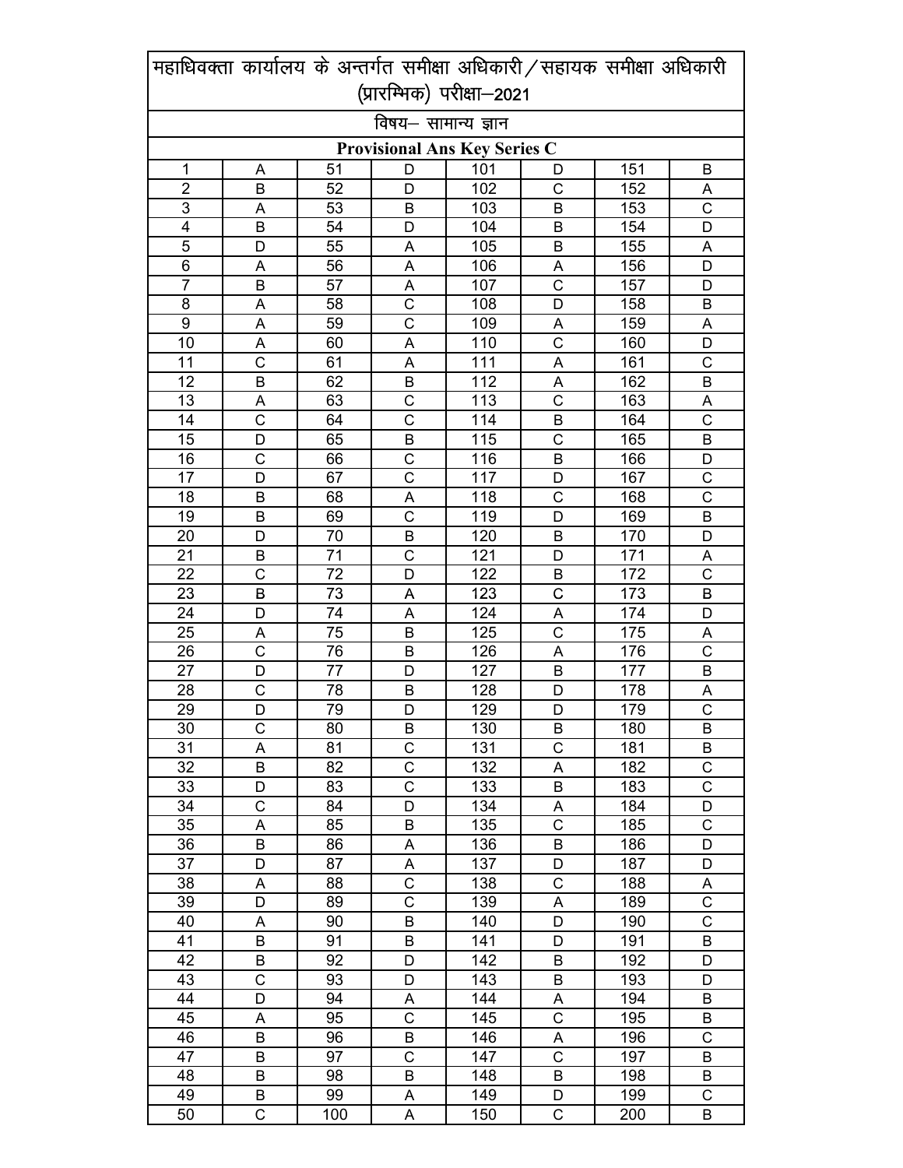|                | महाधिवक्ता कार्यालय के अन्तर्गत समीक्षा अधिकारी / सहायक समीक्षा अधिकारी |     |                                     |     |                       |     |                       |
|----------------|-------------------------------------------------------------------------|-----|-------------------------------------|-----|-----------------------|-----|-----------------------|
|                |                                                                         |     | (प्रारम्भिक) परीक्षा-2021           |     |                       |     |                       |
|                |                                                                         |     | विषय- सामान्य ज्ञान                 |     |                       |     |                       |
|                |                                                                         |     | <b>Provisional Ans Key Series C</b> |     |                       |     |                       |
| 1              | A                                                                       | 51  | D                                   | 101 | D                     | 151 | В                     |
| $\overline{2}$ | B                                                                       | 52  | D                                   | 102 | C                     | 152 | Α                     |
| 3              | A                                                                       | 53  | В                                   | 103 | B                     | 153 | $\mathsf{C}$          |
| 4              | B                                                                       | 54  | D                                   | 104 | B                     | 154 | D                     |
| 5              | D                                                                       | 55  | A                                   | 105 | B                     | 155 | A                     |
| 6              | A                                                                       | 56  | A                                   | 106 | Α                     | 156 | D                     |
| $\overline{7}$ | B                                                                       | 57  | A                                   | 107 | $\overline{\text{c}}$ | 157 | D                     |
| 8              | А                                                                       | 58  | C                                   | 108 | D                     | 158 | B                     |
| 9              | A                                                                       | 59  | $\mathsf{C}$                        | 109 | Α                     | 159 | A                     |
| 10             | A                                                                       | 60  | A                                   | 110 | $\overline{C}$        | 160 | D                     |
| 11             | Ċ                                                                       | 61  | A                                   | 111 | A                     | 161 | $\mathsf{C}$          |
| 12             | B                                                                       | 62  | B                                   | 112 | A                     | 162 | B                     |
| 13             | A                                                                       | 63  | C                                   | 113 | C                     | 163 | A                     |
| 14             | C                                                                       | 64  | C                                   | 114 | B                     | 164 | $\mathsf{C}$          |
| 15             | D                                                                       | 65  | B                                   | 115 | C                     | 165 | B                     |
| 16             | $\mathsf{C}$                                                            | 66  | $\mathsf{C}$                        | 116 | B                     | 166 | D                     |
| 17             | D                                                                       | 67  | $\mathsf{C}$                        | 117 | D                     | 167 | C                     |
| 18             | B                                                                       | 68  | A                                   | 118 | C                     | 168 | $\overline{\text{c}}$ |
| 19             | B                                                                       | 69  | $\mathsf{C}$                        | 119 | D                     | 169 | B                     |
| 20             | D                                                                       | 70  | B                                   | 120 | B                     | 170 | D                     |
| 21             | B                                                                       | 71  | $\mathsf{C}$                        | 121 | D                     | 171 | A                     |
| 22             | Ċ                                                                       | 72  | D                                   | 122 | Β                     | 172 | $\mathsf{C}$          |
| 23             | B                                                                       | 73  | A                                   | 123 | $\mathsf C$           | 173 | B                     |
| 24             | D                                                                       | 74  | A                                   | 124 | Α                     | 174 | D                     |
| 25             | A                                                                       | 75  | В                                   | 125 | C                     | 175 | Α                     |
| 26             | $\mathsf{C}$                                                            | 76  | B                                   | 126 | A                     | 176 | $\overline{\text{c}}$ |
| 27             | D                                                                       | 77  | D                                   | 127 | B                     | 177 | B                     |
| 28             | C                                                                       | 78  | B                                   | 128 | D                     | 178 | $rac{A}{C}$           |
| 29             | D                                                                       | 79  | D                                   | 129 | D                     | 179 |                       |
| 30             | C                                                                       | 80  | B                                   | 130 | B                     | 180 | B                     |
| 31             | А                                                                       | 81  | C                                   | 131 | С                     | 181 | В                     |
| 32             | B                                                                       | 82  | $\mathsf C$                         | 132 | Α                     | 182 | $\mathsf C$           |
| 33             | D                                                                       | 83  | $\mathsf C$                         | 133 | В                     | 183 | $\mathsf C$           |
| 34             | C                                                                       | 84  | D                                   | 134 | Α                     | 184 | D                     |
| 35             | А                                                                       | 85  | B                                   | 135 | C                     | 185 | $\mathsf C$           |
| 36             | B                                                                       | 86  | A                                   | 136 | В                     | 186 | D                     |
| 37             | D                                                                       | 87  | A                                   | 137 | D                     | 187 | D                     |
| 38             | A                                                                       | 88  | $\mathsf C$                         | 138 | C                     | 188 | A                     |
| 39             | D                                                                       | 89  | $\mathsf{C}$                        | 139 | A                     | 189 | $\mathsf{C}$          |
| 40             | A                                                                       | 90  | B                                   | 140 | D                     | 190 | $\overline{\text{c}}$ |
| 41             | B                                                                       | 91  | B                                   | 141 | D                     | 191 | B                     |
| 42             | B                                                                       | 92  | D                                   | 142 | В                     | 192 | D                     |
| 43             | C                                                                       | 93  | D                                   | 143 | B                     | 193 | D                     |
| 44             | D                                                                       | 94  | A                                   | 144 | Α                     | 194 | B                     |
| 45             | A                                                                       | 95  | $\mathsf C$                         | 145 | $\mathsf C$           | 195 | В                     |
| 46             | B                                                                       | 96  | B                                   | 146 | Α                     | 196 | $\mathsf{C}$          |
| 47             | В                                                                       | 97  | C                                   | 147 | C                     | 197 | В                     |
| 48             | B                                                                       | 98  | B                                   | 148 | B                     | 198 | В                     |
| 49             | B                                                                       | 99  | A                                   | 149 | D                     | 199 | $\mathsf C$           |
| 50             | C                                                                       | 100 | A                                   | 150 | С                     | 200 | B                     |